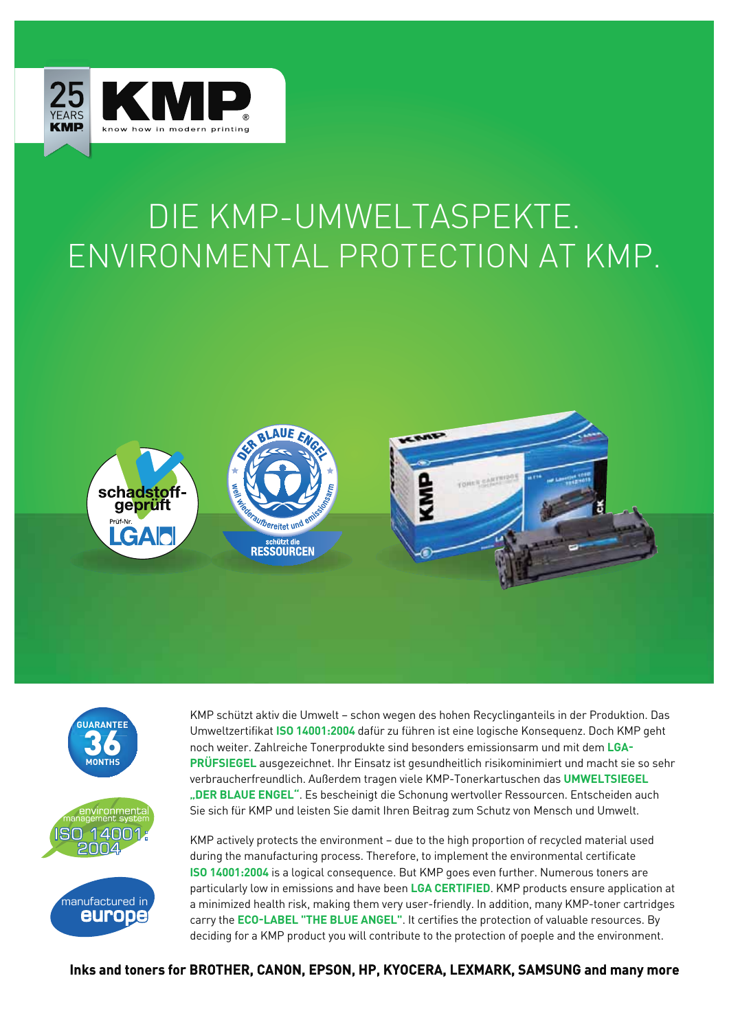

## DIE KMP-UMWELTASPEKTE. ENVIRONMENTAL PROTECTION AT KMP.









KMP schützt aktiv die Umwelt – schon wegen des hohen Recyclinganteils in der Produktion. Das Umweltzertifikat **ISO 14001:2004** dafür zu führen ist eine logische Konsequenz. Doch KMP geht noch weiter. Zahlreiche Tonerprodukte sind besonders emissionsarm und mit dem **LGA-PRÜFSIEGEL** ausgezeichnet. Ihr Einsatz ist gesundheitlich risikominimiert und macht sie so sehr verbraucherfreundlich. Außerdem tragen viele KMP-Tonerkartuschen das **UMWELTSIEGEL "DER BLAUE ENGEL"**. Es bescheinigt die Schonung wertvoller Ressourcen. Entscheiden auch Sie sich für KMP und leisten Sie damit Ihren Beitrag zum Schutz von Mensch und Umwelt.

KMP actively protects the environment – due to the high proportion of recycled material used during the manufacturing process. Therefore, to implement the environmental certificate **ISO 14001:2004** is a logical consequence. But KMP goes even further. Numerous toners are particularly low in emissions and have been **LGA CERTIFIED**. KMP products ensure application at a minimized health risk, making them very user-friendly. In addition, many KMP-toner cartridges carry the **ECO-LABEL "THE BLUE ANGEL"**. It certifies the protection of valuable resources. By deciding for a KMP product you will contribute to the protection of poeple and the environment.

**Inks and toners for BROTHER, CANON, EPSON, HP, KYOCERA, LEXMARK, SAMSUNG and many more**